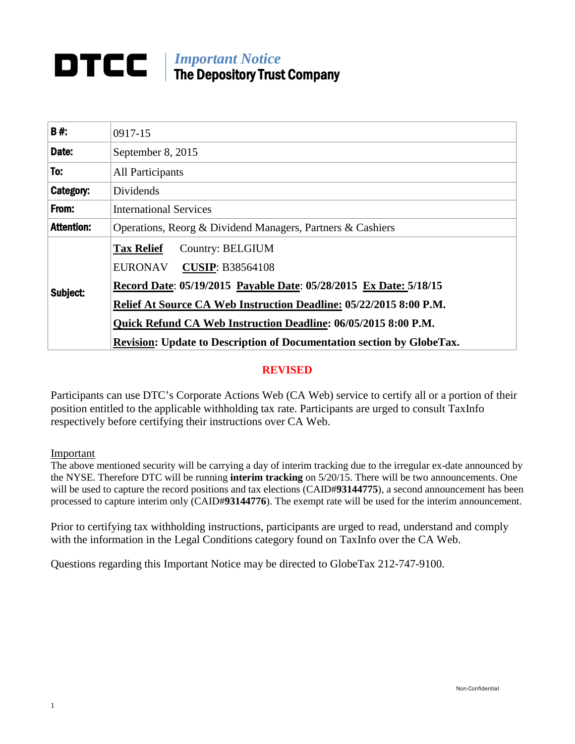# **DTCC** | *Important Notice* The Depository Trust Company

| <b>B#:</b>        | 0917-15                                                                      |  |  |
|-------------------|------------------------------------------------------------------------------|--|--|
| Date:             | September 8, 2015                                                            |  |  |
| To:               | All Participants                                                             |  |  |
| <b>Category:</b>  | Dividends                                                                    |  |  |
| From:             | <b>International Services</b>                                                |  |  |
| <b>Attention:</b> | Operations, Reorg & Dividend Managers, Partners & Cashiers                   |  |  |
|                   | <b>Tax Relief</b><br>Country: BELGIUM                                        |  |  |
|                   | EURONAV<br><b>CUSIP: B38564108</b>                                           |  |  |
| Subject:          | Record Date: 05/19/2015 Payable Date: 05/28/2015 Ex Date: 5/18/15            |  |  |
|                   | Relief At Source CA Web Instruction Deadline: 05/22/2015 8:00 P.M.           |  |  |
|                   | Quick Refund CA Web Instruction Deadline: 06/05/2015 8:00 P.M.               |  |  |
|                   | <b>Revision: Update to Description of Documentation section by GlobeTax.</b> |  |  |

# **REVISED**

Participants can use DTC's Corporate Actions Web (CA Web) service to certify all or a portion of their position entitled to the applicable withholding tax rate. Participants are urged to consult TaxInfo respectively before certifying their instructions over CA Web.

#### Important

The above mentioned security will be carrying a day of interim tracking due to the irregular ex-date announced by the NYSE. Therefore DTC will be running **interim tracking** on 5/20/15. There will be two announcements. One will be used to capture the record positions and tax elections (CAID#**93144775**), a second announcement has been processed to capture interim only (CAID#**93144776**). The exempt rate will be used for the interim announcement.

Prior to certifying tax withholding instructions, participants are urged to read, understand and comply with the information in the Legal Conditions category found on TaxInfo over the CA Web.

Questions regarding this Important Notice may be directed to GlobeTax 212-747-9100.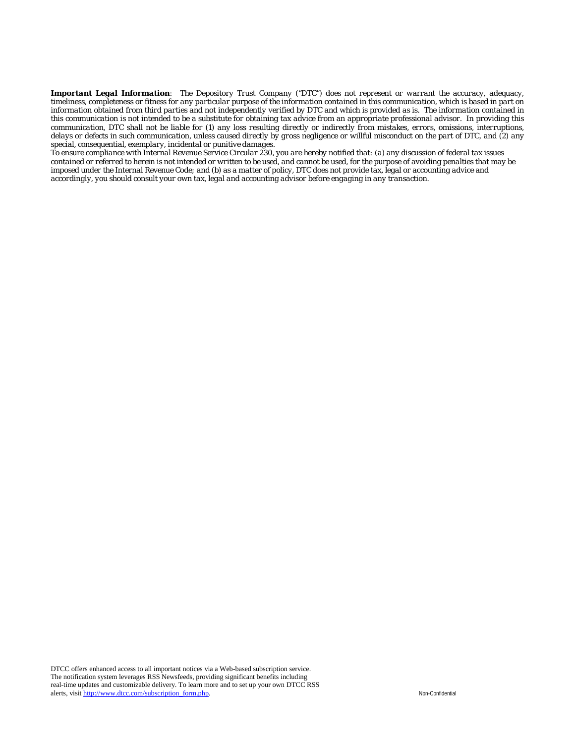*Important Legal Information: The Depository Trust Company ("DTC") does not represent or warrant the accuracy, adequacy, timeliness, completeness or fitness for any particular purpose of the information contained in this communication, which is based in part on information obtained from third parties and not independently verified by DTC and which is provided as is. The information contained in this communication is not intended to be a substitute for obtaining tax advice from an appropriate professional advisor. In providing this communication, DTC shall not be liable for (1) any loss resulting directly or indirectly from mistakes, errors, omissions, interruptions, delays or defects in such communication, unless caused directly by gross negligence or willful misconduct on the part of DTC, and (2) any special, consequential, exemplary, incidental or punitive damages.*

*To ensure compliance with Internal Revenue Service Circular 230, you are hereby notified that: (a) any discussion of federal tax issues contained or referred to herein is not intended or written to be used, and cannot be used, for the purpose of avoiding penalties that may be imposed under the Internal Revenue Code; and (b) as a matter of policy, DTC does not provide tax, legal or accounting advice and accordingly, you should consult your own tax, legal and accounting advisor before engaging in any transaction.*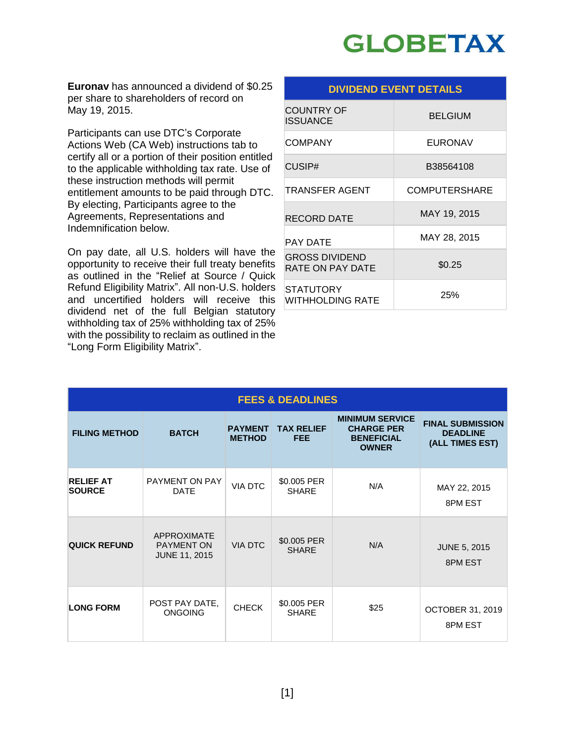# **GLOBETAX**

**Euronav** has announced a dividend of \$0.25 per share to shareholders of record on May 19, 2015.

Participants can use DTC's Corporate Actions Web (CA Web) instructions tab to certify all or a portion of their position entitled to the applicable withholding tax rate. Use of these instruction methods will permit entitlement amounts to be paid through DTC. By electing, Participants agree to the Agreements, Representations and Indemnification below.

On pay date, all U.S. holders will have the opportunity to receive their full treaty benefits as outlined in the "Relief at Source / Quick Refund Eligibility Matrix". All non-U.S. holders and uncertified holders will receive this dividend net of the full Belgian statutory withholding tax of 25% withholding tax of 25% with the possibility to reclaim as outlined in the "Long Form Eligibility Matrix".

| <b>DIVIDEND EVENT DETAILS</b>             |                      |  |  |
|-------------------------------------------|----------------------|--|--|
| <b>COUNTRY OF</b><br>ISSUANCE             | <b>BELGIUM</b>       |  |  |
| COMPANY                                   | EURONAV              |  |  |
| CUSIP#                                    | B38564108            |  |  |
| TRANSFER AGENT                            | <b>COMPUTERSHARE</b> |  |  |
| RECORD DATE                               | MAY 19, 2015         |  |  |
| PAY DATE                                  | MAY 28, 2015         |  |  |
| <b>GROSS DIVIDEND</b><br>RATE ON PAY DATE | \$0.25               |  |  |
| STATUTORY<br>WITHHOLDING RATE             | 25%                  |  |  |

| <b>FEES &amp; DEADLINES</b>       |                                                                 |                                 |                             |                                                                                  |                                                               |  |
|-----------------------------------|-----------------------------------------------------------------|---------------------------------|-----------------------------|----------------------------------------------------------------------------------|---------------------------------------------------------------|--|
| <b>FILING METHOD</b>              | <b>BATCH</b>                                                    | <b>PAYMENT</b><br><b>METHOD</b> | <b>TAX RELIEF</b><br>FEE.   | <b>MINIMUM SERVICE</b><br><b>CHARGE PER</b><br><b>BENEFICIAL</b><br><b>OWNER</b> | <b>FINAL SUBMISSION</b><br><b>DEADLINE</b><br>(ALL TIMES EST) |  |
| <b>RELIEF AT</b><br><b>SOURCE</b> | PAYMENT ON PAY<br><b>DATE</b>                                   | <b>VIA DTC</b>                  | \$0.005 PER<br><b>SHARE</b> | N/A                                                                              | MAY 22, 2015<br>8PM EST                                       |  |
| <b>QUICK REFUND</b>               | <b>APPROXIMATE</b><br><b>PAYMENT ON</b><br><b>JUNE 11, 2015</b> | <b>VIA DTC</b>                  | \$0.005 PER<br><b>SHARE</b> | N/A                                                                              | <b>JUNE 5, 2015</b><br>8PM EST                                |  |
| <b>LONG FORM</b>                  | POST PAY DATE,<br><b>ONGOING</b>                                | <b>CHECK</b>                    | \$0.005 PER<br><b>SHARE</b> | \$25                                                                             | <b>OCTOBER 31, 2019</b><br>8PM EST                            |  |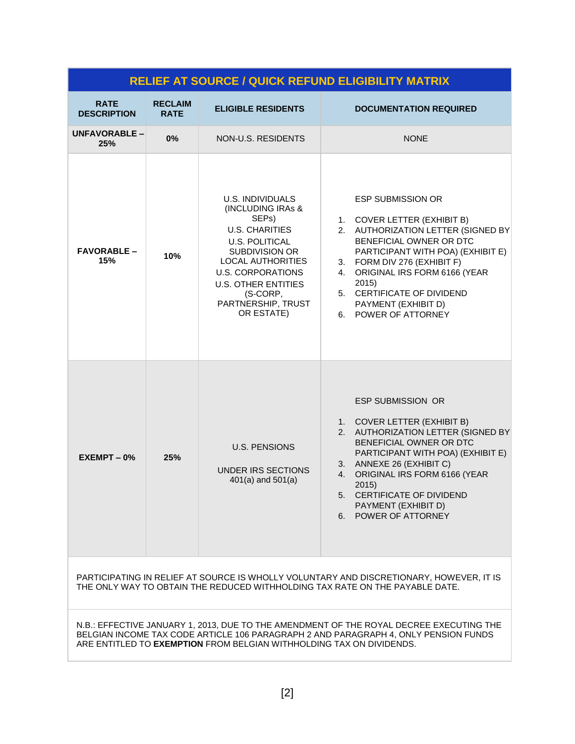| <b>RELIEF AT SOURCE / QUICK REFUND ELIGIBILITY MATRIX</b>                                                                                                                                                                                              |                               |                                                                                                                                                                                                                                                                              |                                                                                                                                                                                                                                                                                                                             |  |  |
|--------------------------------------------------------------------------------------------------------------------------------------------------------------------------------------------------------------------------------------------------------|-------------------------------|------------------------------------------------------------------------------------------------------------------------------------------------------------------------------------------------------------------------------------------------------------------------------|-----------------------------------------------------------------------------------------------------------------------------------------------------------------------------------------------------------------------------------------------------------------------------------------------------------------------------|--|--|
| <b>RATE</b><br><b>DESCRIPTION</b>                                                                                                                                                                                                                      | <b>RECLAIM</b><br><b>RATE</b> | <b>ELIGIBLE RESIDENTS</b>                                                                                                                                                                                                                                                    | <b>DOCUMENTATION REQUIRED</b>                                                                                                                                                                                                                                                                                               |  |  |
| <b>UNFAVORABLE –</b><br>25%                                                                                                                                                                                                                            | 0%                            | NON-U.S. RESIDENTS                                                                                                                                                                                                                                                           | <b>NONE</b>                                                                                                                                                                                                                                                                                                                 |  |  |
| <b>FAVORABLE -</b><br>15%                                                                                                                                                                                                                              | 10%                           | <b>U.S. INDIVIDUALS</b><br>(INCLUDING IRAs &<br>SEP <sub>s</sub> )<br><b>U.S. CHARITIES</b><br><b>U.S. POLITICAL</b><br>SUBDIVISION OR<br><b>LOCAL AUTHORITIES</b><br><b>U.S. CORPORATIONS</b><br><b>U.S. OTHER ENTITIES</b><br>(S-CORP,<br>PARTNERSHIP, TRUST<br>OR ESTATE) | <b>ESP SUBMISSION OR</b><br>1. COVER LETTER (EXHIBIT B)<br>AUTHORIZATION LETTER (SIGNED BY<br>2.<br>BENEFICIAL OWNER OR DTC<br>PARTICIPANT WITH POA) (EXHIBIT E)<br>3. FORM DIV 276 (EXHIBIT F)<br>ORIGINAL IRS FORM 6166 (YEAR<br>4.<br>2015)<br>5. CERTIFICATE OF DIVIDEND<br>PAYMENT (EXHIBIT D)<br>6. POWER OF ATTORNEY |  |  |
| $EXEMENT - 0%$                                                                                                                                                                                                                                         | 25%                           | <b>U.S. PENSIONS</b><br>UNDER IRS SECTIONS<br>$401(a)$ and $501(a)$                                                                                                                                                                                                          | <b>ESP SUBMISSION OR</b><br>1. COVER LETTER (EXHIBIT B)<br>AUTHORIZATION LETTER (SIGNED BY<br>2.<br>BENEFICIAL OWNER OR DTC<br>PARTICIPANT WITH POA) (EXHIBIT E)<br>ANNEXE 26 (EXHIBIT C)<br>3.<br>ORIGINAL IRS FORM 6166 (YEAR<br>4.<br>2015)<br>5. CERTIFICATE OF DIVIDEND<br>PAYMENT (EXHIBIT D)<br>6. POWER OF ATTORNEY |  |  |
| PARTICIPATING IN RELIEF AT SOURCE IS WHOLLY VOLUNTARY AND DISCRETIONARY, HOWEVER, IT IS<br>THE ONLY WAY TO OBTAIN THE REDUCED WITHHOLDING TAX RATE ON THE PAYABLE DATE.                                                                                |                               |                                                                                                                                                                                                                                                                              |                                                                                                                                                                                                                                                                                                                             |  |  |
| N.B.: EFFECTIVE JANUARY 1, 2013, DUE TO THE AMENDMENT OF THE ROYAL DECREE EXECUTING THE<br>BELGIAN INCOME TAX CODE ARTICLE 106 PARAGRAPH 2 AND PARAGRAPH 4, ONLY PENSION FUNDS<br>ARE ENTITLED TO EXEMPTION FROM BELGIAN WITHHOLDING TAX ON DIVIDENDS. |                               |                                                                                                                                                                                                                                                                              |                                                                                                                                                                                                                                                                                                                             |  |  |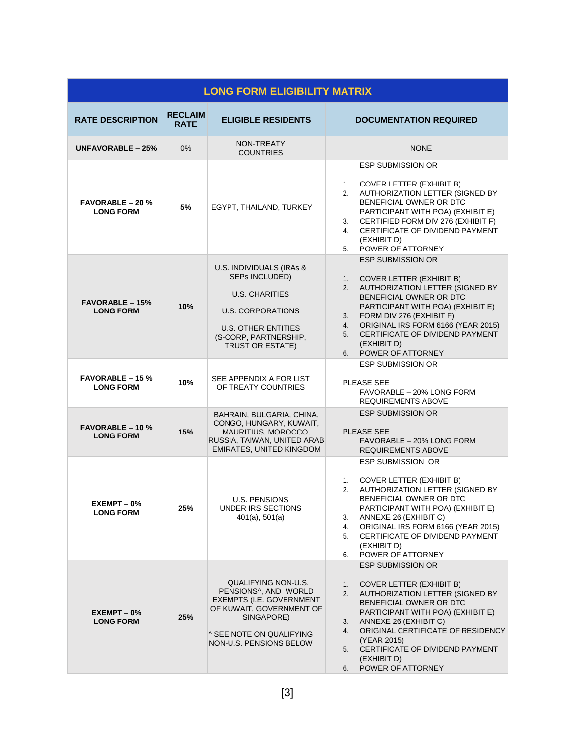| <b>LONG FORM ELIGIBILITY MATRIX</b>         |                               |                                                                                                                                                                            |                                                                                                                                                                                                                                                                                                                                                        |  |  |
|---------------------------------------------|-------------------------------|----------------------------------------------------------------------------------------------------------------------------------------------------------------------------|--------------------------------------------------------------------------------------------------------------------------------------------------------------------------------------------------------------------------------------------------------------------------------------------------------------------------------------------------------|--|--|
| <b>RATE DESCRIPTION</b>                     | <b>RECLAIM</b><br><b>RATE</b> | <b>ELIGIBLE RESIDENTS</b>                                                                                                                                                  | <b>DOCUMENTATION REQUIRED</b>                                                                                                                                                                                                                                                                                                                          |  |  |
| UNFAVORABLE $-25%$                          | 0%                            | NON-TREATY<br><b>COUNTRIES</b>                                                                                                                                             | <b>NONE</b>                                                                                                                                                                                                                                                                                                                                            |  |  |
| <b>FAVORABLE - 20 %</b><br><b>LONG FORM</b> | 5%                            | EGYPT, THAILAND, TURKEY                                                                                                                                                    | <b>ESP SUBMISSION OR</b><br><b>COVER LETTER (EXHIBIT B)</b><br>1.<br>AUTHORIZATION LETTER (SIGNED BY<br>2.<br>BENEFICIAL OWNER OR DTC<br>PARTICIPANT WITH POA) (EXHIBIT E)<br>CERTIFIED FORM DIV 276 (EXHIBIT F)<br>3.<br>CERTIFICATE OF DIVIDEND PAYMENT<br>4.<br>(EXHIBIT D)<br>POWER OF ATTORNEY<br>5.                                              |  |  |
| <b>FAVORABLE - 15%</b><br><b>LONG FORM</b>  | 10%                           | U.S. INDIVIDUALS (IRAs &<br>SEPs INCLUDED)<br><b>U.S. CHARITIES</b><br>U.S. CORPORATIONS<br><b>U.S. OTHER ENTITIES</b><br>(S-CORP. PARTNERSHIP.<br><b>TRUST OR ESTATE)</b> | <b>ESP SUBMISSION OR</b><br><b>COVER LETTER (EXHIBIT B)</b><br>1.<br>AUTHORIZATION LETTER (SIGNED BY<br>2.<br>BENEFICIAL OWNER OR DTC<br>PARTICIPANT WITH POA) (EXHIBIT E)<br>FORM DIV 276 (EXHIBIT F)<br>3.<br>ORIGINAL IRS FORM 6166 (YEAR 2015)<br>4.<br>CERTIFICATE OF DIVIDEND PAYMENT<br>5.<br>(EXHIBIT D)<br>POWER OF ATTORNEY<br>6.            |  |  |
| <b>FAVORABLE - 15 %</b><br><b>LONG FORM</b> | 10%                           | SEE APPENDIX A FOR LIST<br>OF TREATY COUNTRIES                                                                                                                             | <b>ESP SUBMISSION OR</b><br>PLEASE SEE<br>FAVORABLE - 20% LONG FORM<br><b>REQUIREMENTS ABOVE</b>                                                                                                                                                                                                                                                       |  |  |
| <b>FAVORABLE - 10 %</b><br><b>LONG FORM</b> | 15%                           | BAHRAIN, BULGARIA, CHINA,<br>CONGO, HUNGARY, KUWAIT,<br>MAURITIUS, MOROCCO,<br>RUSSIA, TAIWAN, UNITED ARAB<br><b>EMIRATES, UNITED KINGDOM</b>                              | <b>ESP SUBMISSION OR</b><br><b>PLEASE SEE</b><br>FAVORABLE - 20% LONG FORM<br><b>REQUIREMENTS ABOVE</b>                                                                                                                                                                                                                                                |  |  |
| EXEMPT-0%<br><b>LONG FORM</b>               | 25%                           | <b>U.S. PENSIONS</b><br>UNDER IRS SECTIONS<br>$401(a)$ , $501(a)$                                                                                                          | <b>ESP SUBMISSION OR</b><br><b>COVER LETTER (EXHIBIT B)</b><br>1.<br>AUTHORIZATION LETTER (SIGNED BY<br>2.<br>BENEFICIAL OWNER OR DTC<br>PARTICIPANT WITH POA) (EXHIBIT E)<br>ANNEXE 26 (EXHIBIT C)<br>3.<br>ORIGINAL IRS FORM 6166 (YEAR 2015)<br>4.<br>CERTIFICATE OF DIVIDEND PAYMENT<br>5.<br>(EXHIBIT D)<br>POWER OF ATTORNEY<br>6.               |  |  |
| $EXEMENT - 0%$<br><b>LONG FORM</b>          | 25%                           | QUALIFYING NON-U.S.<br>PENSIONS^, AND WORLD<br>EXEMPTS (I.E. GOVERNMENT<br>OF KUWAIT, GOVERNMENT OF<br>SINGAPORE)<br>^ SEE NOTE ON QUALIFYING<br>NON-U.S. PENSIONS BELOW   | <b>ESP SUBMISSION OR</b><br><b>COVER LETTER (EXHIBIT B)</b><br>1.<br>AUTHORIZATION LETTER (SIGNED BY<br>2.<br>BENEFICIAL OWNER OR DTC<br>PARTICIPANT WITH POA) (EXHIBIT E)<br>ANNEXE 26 (EXHIBIT C)<br>3.<br>ORIGINAL CERTIFICATE OF RESIDENCY<br>4.<br>(YEAR 2015)<br>CERTIFICATE OF DIVIDEND PAYMENT<br>5.<br>(EXHIBIT D)<br>POWER OF ATTORNEY<br>6. |  |  |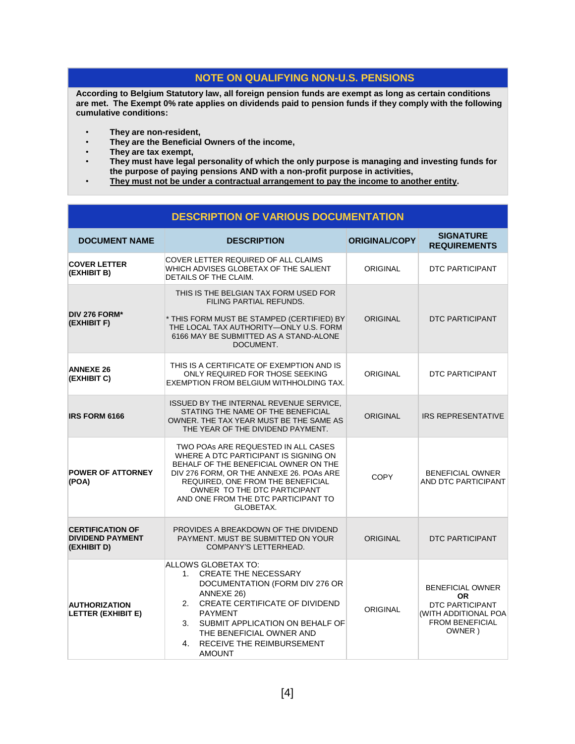# **NOTE ON QUALIFYING NON-U.S. PENSIONS**

**According to Belgium Statutory law, all foreign pension funds are exempt as long as certain conditions are met. The Exempt 0% rate applies on dividends paid to pension funds if they comply with the following cumulative conditions:**

- **They are non-resident,**
- **They are the Beneficial Owners of the income,**
- **They are tax exempt,**
- **They must have legal personality of which the only purpose is managing and investing funds for the purpose of paying pensions AND with a non-profit purpose in activities,**
- **They must not be under a contractual arrangement to pay the income to another entity.**

# **DESCRIPTION OF VARIOUS DOCUMENTATION**

| <b>DOCUMENT NAME</b>                                              | <b>DESCRIPTION</b>                                                                                                                                                                                                                                                                         | <b>ORIGINAL/COPY</b> | <b>SIGNATURE</b><br><b>REQUIREMENTS</b>                                                                             |
|-------------------------------------------------------------------|--------------------------------------------------------------------------------------------------------------------------------------------------------------------------------------------------------------------------------------------------------------------------------------------|----------------------|---------------------------------------------------------------------------------------------------------------------|
| <b>COVER LETTER</b><br>(EXHIBIT B)                                | COVER LETTER REQUIRED OF ALL CLAIMS<br>WHICH ADVISES GLOBETAX OF THE SALIENT<br>DETAILS OF THE CLAIM.                                                                                                                                                                                      | <b>ORIGINAL</b>      | DTC PARTICIPANT                                                                                                     |
| DIV 276 FORM*<br>(EXHIBIT F)                                      | THIS IS THE BELGIAN TAX FORM USED FOR<br>FILING PARTIAL REFUNDS.<br>* THIS FORM MUST BE STAMPED (CERTIFIED) BY<br>THE LOCAL TAX AUTHORITY-ONLY U.S. FORM<br>6166 MAY BE SUBMITTED AS A STAND-ALONE<br>DOCUMENT.                                                                            | <b>ORIGINAL</b>      | <b>DTC PARTICIPANT</b>                                                                                              |
| <b>ANNEXE 26</b><br>(EXHIBIT C)                                   | THIS IS A CERTIFICATE OF EXEMPTION AND IS<br>ONLY REQUIRED FOR THOSE SEEKING<br>EXEMPTION FROM BELGIUM WITHHOLDING TAX.                                                                                                                                                                    | <b>ORIGINAL</b>      | <b>DTC PARTICIPANT</b>                                                                                              |
| <b>IRS FORM 6166</b>                                              | ISSUED BY THE INTERNAL REVENUE SERVICE,<br>STATING THE NAME OF THE BENEFICIAL<br>OWNER. THE TAX YEAR MUST BE THE SAME AS<br>THE YEAR OF THE DIVIDEND PAYMENT.                                                                                                                              | <b>ORIGINAL</b>      | <b>IRS REPRESENTATIVE</b>                                                                                           |
| <b>POWER OF ATTORNEY</b><br>(POA)                                 | TWO POAS ARE REQUESTED IN ALL CASES<br>WHERE A DTC PARTICIPANT IS SIGNING ON<br>BEHALF OF THE BENEFICIAL OWNER ON THE<br>DIV 276 FORM, OR THE ANNEXE 26, POAS ARE<br>REQUIRED, ONE FROM THE BENEFICIAL<br>OWNER TO THE DTC PARTICIPANT<br>AND ONE FROM THE DTC PARTICIPANT TO<br>GLOBETAX. | <b>COPY</b>          | <b>BENEFICIAL OWNER</b><br>AND DTC PARTICIPANT                                                                      |
| <b>CERTIFICATION OF</b><br><b>DIVIDEND PAYMENT</b><br>(EXHIBIT D) | PROVIDES A BREAKDOWN OF THE DIVIDEND<br>PAYMENT. MUST BE SUBMITTED ON YOUR<br>COMPANY'S LETTERHEAD.                                                                                                                                                                                        | <b>ORIGINAL</b>      | DTC PARTICIPANT                                                                                                     |
| <b>AUTHORIZATION</b><br><b>LETTER (EXHIBIT E)</b>                 | ALLOWS GLOBETAX TO:<br>1. CREATE THE NECESSARY<br>DOCUMENTATION (FORM DIV 276 OR<br>ANNEXE 26)<br>2. CREATE CERTIFICATE OF DIVIDEND<br><b>PAYMENT</b><br>3. SUBMIT APPLICATION ON BEHALF OF<br>THE BENEFICIAL OWNER AND<br>4. RECEIVE THE REIMBURSEMENT<br><b>AMOUNT</b>                   | <b>ORIGINAL</b>      | <b>BENEFICIAL OWNER</b><br><b>OR</b><br>DTC PARTICIPANT<br>(WITH ADDITIONAL POA<br><b>FROM BENEFICIAL</b><br>OWNER) |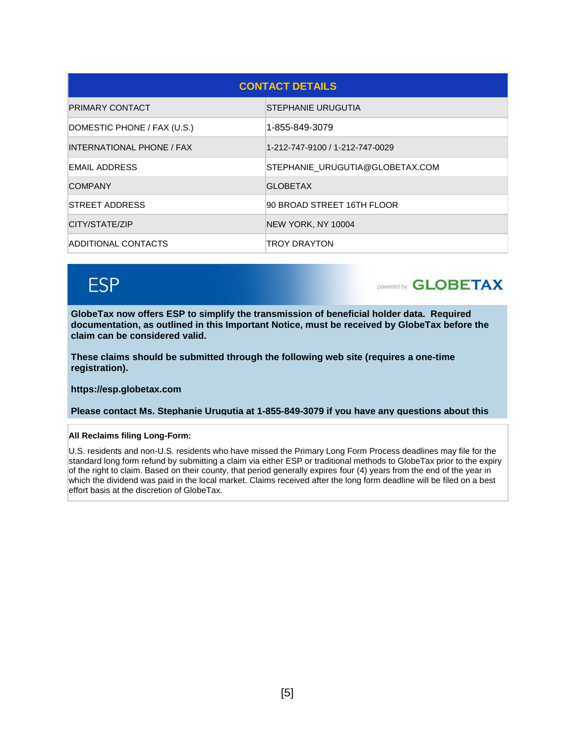| <b>CONTACT DETAILS</b>      |                                 |  |  |
|-----------------------------|---------------------------------|--|--|
| <b>PRIMARY CONTACT</b>      | STEPHANIE URUGUTIA              |  |  |
| DOMESTIC PHONE / FAX (U.S.) | 1-855-849-3079                  |  |  |
| INTERNATIONAL PHONE / FAX   | 1-212-747-9100 / 1-212-747-0029 |  |  |
| <b>EMAIL ADDRESS</b>        | STEPHANIE URUGUTIA@GLOBETAX.COM |  |  |
| <b>COMPANY</b>              | <b>GLOBETAX</b>                 |  |  |
| STREET ADDRESS              | 90 BROAD STREET 16TH FLOOR      |  |  |
| CITY/STATE/ZIP              | NEW YORK, NY 10004              |  |  |
| ADDITIONAL CONTACTS         | TROY DRAYTON                    |  |  |

# **ESP**

**powered by GLOBETAX** 

**GlobeTax now offers ESP to simplify the transmission of beneficial holder data. Required documentation, as outlined in this Important Notice, must be received by GlobeTax before the claim can be considered valid.** 

**These claims should be submitted through the following web site (requires a one-time registration).**

**https://esp.globetax.com**

**Please contact Ms. Stephanie Urugutia at 1-855-849-3079 if you have any questions about this** 

**All Reclaims filing Long-Form:**

U.S. residents and non-U.S. residents who have missed the Primary Long Form Process deadlines may file for the standard long form refund by submitting a claim via either ESP or traditional methods to GlobeTax prior to the expiry of the right to claim. Based on their county, that period generally expires four (4) years from the end of the year in which the dividend was paid in the local market. Claims received after the long form deadline will be filed on a best effort basis at the discretion of GlobeTax.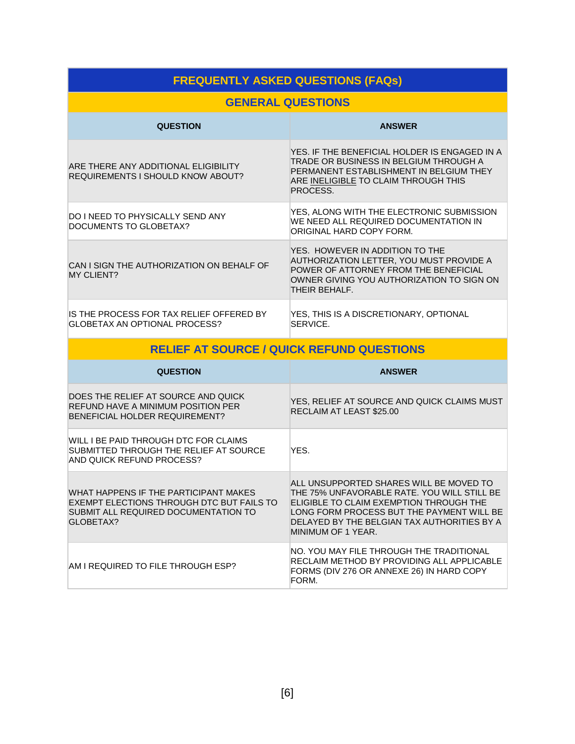# **FREQUENTLY ASKED QUESTIONS (FAQs)**

# **GENERAL QUESTIONS**

| <b>QUESTION</b>                                                           | <b>ANSWER</b>                                                                                                                                                                          |
|---------------------------------------------------------------------------|----------------------------------------------------------------------------------------------------------------------------------------------------------------------------------------|
| ARE THERE ANY ADDITIONAL ELIGIBILITY<br>REQUIREMENTS I SHOULD KNOW ABOUT? | YES. IF THE BENEFICIAL HOLDER IS ENGAGED IN A<br>TRADE OR BUSINESS IN BELGIUM THROUGH A<br>PERMANENT ESTABLISHMENT IN BELGIUM THEY<br>ARE INELIGIBLE TO CLAIM THROUGH THIS<br>PROCESS. |
| DO I NEED TO PHYSICALLY SEND ANY<br>DOCUMENTS TO GLOBETAX?                | YES, ALONG WITH THE ELECTRONIC SUBMISSION<br>WE NEED ALL REQUIRED DOCUMENTATION IN<br>ORIGINAL HARD COPY FORM.                                                                         |
| CAN I SIGN THE AUTHORIZATION ON BEHALF OF<br>MY CLIENT?                   | YES. HOWEVER IN ADDITION TO THE<br>AUTHORIZATION LETTER, YOU MUST PROVIDE A<br>POWER OF ATTORNEY FROM THE BENEFICIAL<br>OWNER GIVING YOU AUTHORIZATION TO SIGN ON<br>THEIR BEHALF.     |
| IS THE PROCESS FOR TAX RELIEF OFFERED BY<br>GLOBETAX AN OPTIONAL PROCESS? | YES, THIS IS A DISCRETIONARY, OPTIONAL<br>SERVICE.                                                                                                                                     |

| <b>RELIEF AT SOURCE / QUICK REFUND QUESTIONS</b>                                                                                        |                                                                                                                                                                                                                                                     |  |  |
|-----------------------------------------------------------------------------------------------------------------------------------------|-----------------------------------------------------------------------------------------------------------------------------------------------------------------------------------------------------------------------------------------------------|--|--|
| <b>QUESTION</b>                                                                                                                         | <b>ANSWER</b>                                                                                                                                                                                                                                       |  |  |
| DOES THE RELIEF AT SOURCE AND QUICK<br>REFUND HAVE A MINIMUM POSITION PER<br>BENEFICIAL HOLDER REQUIREMENT?                             | YES, RELIEF AT SOURCE AND QUICK CLAIMS MUST<br>RECLAIM AT LEAST \$25.00                                                                                                                                                                             |  |  |
| WILL I BE PAID THROUGH DTC FOR CLAIMS<br>SUBMITTED THROUGH THE RELIEF AT SOURCE<br>AND QUICK REFUND PROCESS?                            | YFS.                                                                                                                                                                                                                                                |  |  |
| WHAT HAPPENS IF THE PARTICIPANT MAKES<br>EXEMPT ELECTIONS THROUGH DTC BUT FAILS TO<br>SUBMIT ALL REQUIRED DOCUMENTATION TO<br>GLOBETAX? | ALL UNSUPPORTED SHARES WILL BE MOVED TO<br>THE 75% UNFAVORABLE RATE. YOU WILL STILL BE<br>ELIGIBLE TO CLAIM EXEMPTION THROUGH THE<br>LONG FORM PROCESS BUT THE PAYMENT WILL BE<br>DELAYED BY THE BELGIAN TAX AUTHORITIES BY A<br>MINIMUM OF 1 YEAR. |  |  |
| AM LDEALIIDEN TA EILE THDALICH ESD?                                                                                                     | NO. YOU MAY FILE THROUGH THE TRADITIONAL<br>RECLAIM METHOD BY PROVIDING ALL APPLICABLE                                                                                                                                                              |  |  |

AM I REQUIRED TO FILE THROUGH ESP?

FORM.

FORMS (DIV 276 OR ANNEXE 26) IN HARD COPY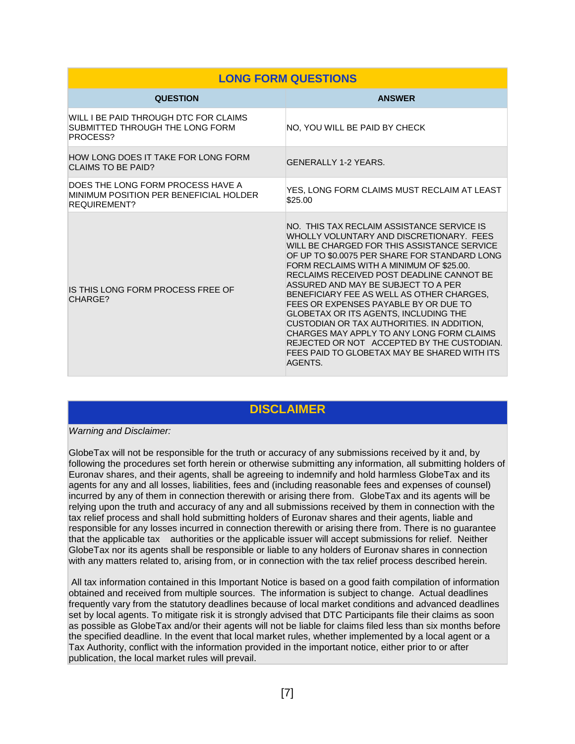| <b>LONG FORM QUESTIONS</b>                                                                         |                                                                                                                                                                                                                                                                                                                                                                                                                                                                                                                                                                                                                                                           |  |  |
|----------------------------------------------------------------------------------------------------|-----------------------------------------------------------------------------------------------------------------------------------------------------------------------------------------------------------------------------------------------------------------------------------------------------------------------------------------------------------------------------------------------------------------------------------------------------------------------------------------------------------------------------------------------------------------------------------------------------------------------------------------------------------|--|--|
| <b>QUESTION</b>                                                                                    | <b>ANSWER</b>                                                                                                                                                                                                                                                                                                                                                                                                                                                                                                                                                                                                                                             |  |  |
| WILL I BE PAID THROUGH DTC FOR CLAIMS<br>SUBMITTED THROUGH THE LONG FORM<br>PROCESS?               | NO, YOU WILL BE PAID BY CHECK                                                                                                                                                                                                                                                                                                                                                                                                                                                                                                                                                                                                                             |  |  |
| HOW LONG DOES IT TAKE FOR LONG FORM<br><b>CLAIMS TO BE PAID?</b>                                   | <b>GENERALLY 1-2 YEARS.</b>                                                                                                                                                                                                                                                                                                                                                                                                                                                                                                                                                                                                                               |  |  |
| DOES THE LONG FORM PROCESS HAVE A<br>MINIMUM POSITION PER BENEFICIAL HOLDER<br><b>REQUIREMENT?</b> | YES, LONG FORM CLAIMS MUST RECLAIM AT LEAST<br>\$25.00                                                                                                                                                                                                                                                                                                                                                                                                                                                                                                                                                                                                    |  |  |
| IS THIS LONG FORM PROCESS FREE OF<br>CHARGE?                                                       | NO. THIS TAX RECLAIM ASSISTANCE SERVICE IS<br>WHOLLY VOLUNTARY AND DISCRETIONARY. FEES<br>WILL BE CHARGED FOR THIS ASSISTANCE SERVICE<br>OF UP TO \$0.0075 PER SHARE FOR STANDARD LONG<br>FORM RECLAIMS WITH A MINIMUM OF \$25.00.<br>RECLAIMS RECEIVED POST DEADLINE CANNOT BE<br>ASSURED AND MAY BE SUBJECT TO A PER<br>BENEFICIARY FEE AS WELL AS OTHER CHARGES.<br>FEES OR EXPENSES PAYABLE BY OR DUE TO<br>GLOBETAX OR ITS AGENTS, INCLUDING THE<br>CUSTODIAN OR TAX AUTHORITIES. IN ADDITION,<br>CHARGES MAY APPLY TO ANY LONG FORM CLAIMS<br>REJECTED OR NOT ACCEPTED BY THE CUSTODIAN.<br>FEES PAID TO GLOBETAX MAY BE SHARED WITH ITS<br>AGENTS. |  |  |

# **DISCLAIMER**

#### *Warning and Disclaimer:*

GlobeTax will not be responsible for the truth or accuracy of any submissions received by it and, by following the procedures set forth herein or otherwise submitting any information, all submitting holders of Euronav shares, and their agents, shall be agreeing to indemnify and hold harmless GlobeTax and its agents for any and all losses, liabilities, fees and (including reasonable fees and expenses of counsel) incurred by any of them in connection therewith or arising there from. GlobeTax and its agents will be relying upon the truth and accuracy of any and all submissions received by them in connection with the tax relief process and shall hold submitting holders of Euronav shares and their agents, liable and responsible for any losses incurred in connection therewith or arising there from. There is no guarantee that the applicable tax authorities or the applicable issuer will accept submissions for relief. Neither GlobeTax nor its agents shall be responsible or liable to any holders of Euronav shares in connection with any matters related to, arising from, or in connection with the tax relief process described herein.

All tax information contained in this Important Notice is based on a good faith compilation of information obtained and received from multiple sources. The information is subject to change. Actual deadlines frequently vary from the statutory deadlines because of local market conditions and advanced deadlines set by local agents. To mitigate risk it is strongly advised that DTC Participants file their claims as soon as possible as GlobeTax and/or their agents will not be liable for claims filed less than six months before the specified deadline. In the event that local market rules, whether implemented by a local agent or a Tax Authority, conflict with the information provided in the important notice, either prior to or after publication, the local market rules will prevail.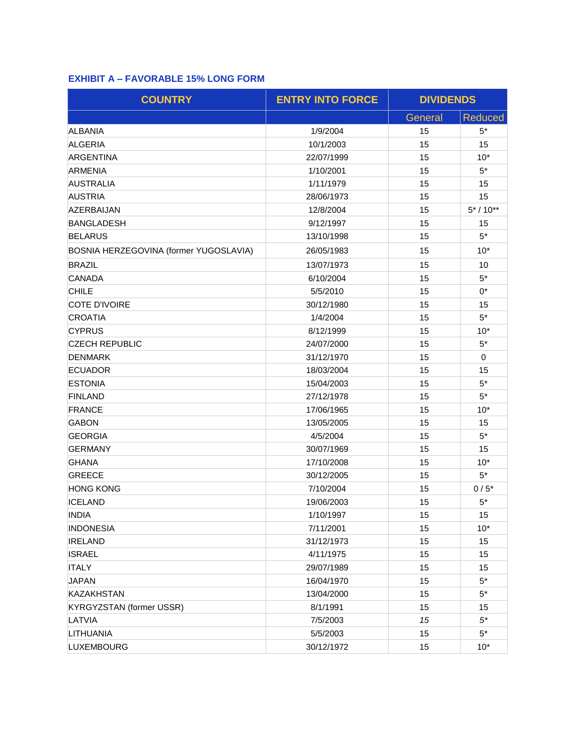# **EXHIBIT A – FAVORABLE 15% LONG FORM**

| <b>COUNTRY</b>                         | <b>ENTRY INTO FORCE</b> | <b>DIVIDENDS</b> |                |
|----------------------------------------|-------------------------|------------------|----------------|
|                                        |                         | General          | <b>Reduced</b> |
| <b>ALBANIA</b>                         | 1/9/2004                | 15               | $5*$           |
| <b>ALGERIA</b>                         | 10/1/2003               | 15               | 15             |
| ARGENTINA                              | 22/07/1999              | 15               | $10*$          |
| <b>ARMENIA</b>                         | 1/10/2001               | 15               | $5^*$          |
| <b>AUSTRALIA</b>                       | 1/11/1979               | 15               | 15             |
| <b>AUSTRIA</b>                         | 28/06/1973              | 15               | 15             |
| <b>AZERBAIJAN</b>                      | 12/8/2004               | 15               | $5* / 10**$    |
| <b>BANGLADESH</b>                      | 9/12/1997               | 15               | 15             |
| <b>BELARUS</b>                         | 13/10/1998              | 15               | $5*$           |
| BOSNIA HERZEGOVINA (former YUGOSLAVIA) | 26/05/1983              | 15               | $10*$          |
| <b>BRAZIL</b>                          | 13/07/1973              | 15               | 10             |
| <b>CANADA</b>                          | 6/10/2004               | 15               | $5^*$          |
| <b>CHILE</b>                           | 5/5/2010                | 15               | $0^*$          |
| <b>COTE D'IVOIRE</b>                   | 30/12/1980              | 15               | 15             |
| <b>CROATIA</b>                         | 1/4/2004                | 15               | $5*$           |
| <b>CYPRUS</b>                          | 8/12/1999               | 15               | $10*$          |
| <b>CZECH REPUBLIC</b>                  | 24/07/2000              | 15               | $5*$           |
| <b>DENMARK</b>                         | 31/12/1970              | 15               | 0              |
| <b>ECUADOR</b>                         | 18/03/2004              | 15               | 15             |
| <b>ESTONIA</b>                         | 15/04/2003              | 15               | $5*$           |
| <b>FINLAND</b>                         | 27/12/1978              | 15               | $5*$           |
| <b>FRANCE</b>                          | 17/06/1965              | 15               | $10*$          |
| <b>GABON</b>                           | 13/05/2005              | 15               | 15             |
| <b>GEORGIA</b>                         | 4/5/2004                | 15               | $5^*$          |
| <b>GERMANY</b>                         | 30/07/1969              | 15               | 15             |
| <b>GHANA</b>                           | 17/10/2008              | 15               | $10*$          |
| <b>GREECE</b>                          | 30/12/2005              | 15               | $5^*$          |
| <b>HONG KONG</b>                       | 7/10/2004               | 15               | $0/5$ *        |
| <b>ICELAND</b>                         | 19/06/2003              | 15               | $5*$           |
| <b>INDIA</b>                           | 1/10/1997               | 15               | 15             |
| <b>INDONESIA</b>                       | 7/11/2001               | 15               | $10*$          |
| <b>IRELAND</b>                         | 31/12/1973              | 15               | 15             |
| <b>ISRAEL</b>                          | 4/11/1975               | 15               | 15             |
| <b>ITALY</b>                           | 29/07/1989              | 15               | 15             |
| <b>JAPAN</b>                           | 16/04/1970              | 15               | $5*$           |
| <b>KAZAKHSTAN</b>                      | 13/04/2000              | 15               | $5^*$          |
| <b>KYRGYZSTAN (former USSR)</b>        | 8/1/1991                | 15               | 15             |
| LATVIA                                 | 7/5/2003                | 15               | $5^*$          |
| LITHUANIA                              | 5/5/2003                | 15               | $5^*$          |
| <b>LUXEMBOURG</b>                      | 30/12/1972              | 15               | $10*$          |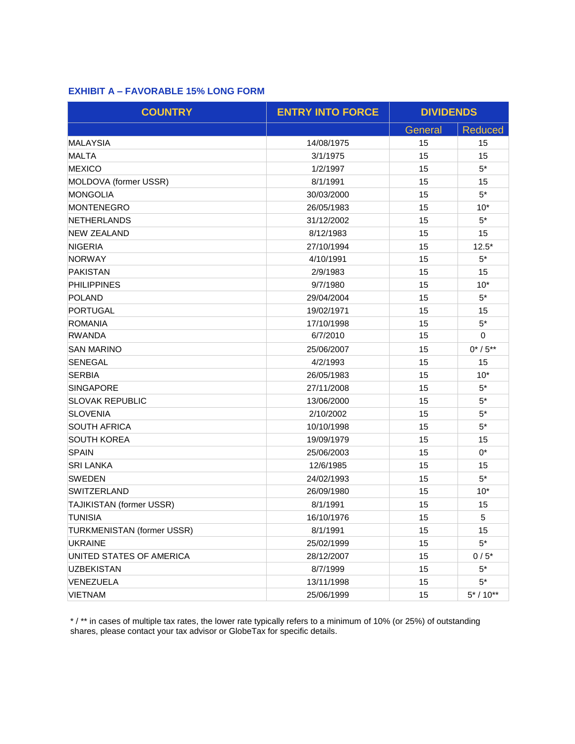## **EXHIBIT A – FAVORABLE 15% LONG FORM**

| <b>COUNTRY</b>             | <b>ENTRY INTO FORCE</b> | <b>DIVIDENDS</b> |                |
|----------------------------|-------------------------|------------------|----------------|
|                            |                         | General          | <b>Reduced</b> |
| <b>MALAYSIA</b>            | 14/08/1975              | 15               | 15             |
| <b>MALTA</b>               | 3/1/1975                | 15               | 15             |
| <b>MEXICO</b>              | 1/2/1997                | 15               | $5*$           |
| MOLDOVA (former USSR)      | 8/1/1991                | 15               | 15             |
| <b>MONGOLIA</b>            | 30/03/2000              | 15               | $5*$           |
| <b>MONTENEGRO</b>          | 26/05/1983              | 15               | $10*$          |
| <b>NETHERLANDS</b>         | 31/12/2002              | 15               | $5*$           |
| <b>NEW ZEALAND</b>         | 8/12/1983               | 15               | 15             |
| <b>NIGERIA</b>             | 27/10/1994              | 15               | $12.5*$        |
| <b>NORWAY</b>              | 4/10/1991               | 15               | $5*$           |
| <b>PAKISTAN</b>            | 2/9/1983                | 15               | 15             |
| <b>PHILIPPINES</b>         | 9/7/1980                | 15               | $10*$          |
| <b>POLAND</b>              | 29/04/2004              | 15               | $5*$           |
| PORTUGAL                   | 19/02/1971              | 15               | 15             |
| <b>ROMANIA</b>             | 17/10/1998              | 15               | $5*$           |
| <b>RWANDA</b>              | 6/7/2010                | 15               | $\mathbf 0$    |
| <b>SAN MARINO</b>          | 25/06/2007              | 15               | $0^*/5^{**}$   |
| <b>SENEGAL</b>             | 4/2/1993                | 15               | 15             |
| <b>SERBIA</b>              | 26/05/1983              | 15               | $10*$          |
| <b>SINGAPORE</b>           | 27/11/2008              | 15               | $5*$           |
| <b>SLOVAK REPUBLIC</b>     | 13/06/2000              | 15               | $5*$           |
| <b>SLOVENIA</b>            | 2/10/2002               | 15               | $5*$           |
| <b>SOUTH AFRICA</b>        | 10/10/1998              | 15               | $5*$           |
| <b>SOUTH KOREA</b>         | 19/09/1979              | 15               | 15             |
| <b>SPAIN</b>               | 25/06/2003              | 15               | $0^*$          |
| <b>SRI LANKA</b>           | 12/6/1985               | 15               | 15             |
| <b>SWEDEN</b>              | 24/02/1993              | 15               | $5*$           |
| <b>SWITZERLAND</b>         | 26/09/1980              | 15               | $10*$          |
| TAJIKISTAN (former USSR)   | 8/1/1991                | 15               | 15             |
| <b>TUNISIA</b>             | 16/10/1976              | 15               | 5              |
| TURKMENISTAN (former USSR) | 8/1/1991                | 15               | 15             |
| <b>UKRAINE</b>             | 25/02/1999              | 15               | $5*$           |
| UNITED STATES OF AMERICA   | 28/12/2007              | 15               | $0/5*$         |
| <b>UZBEKISTAN</b>          | 8/7/1999                | 15               | $5^*$          |
| VENEZUELA                  | 13/11/1998              | 15               | $5*$           |
| VIETNAM                    | 25/06/1999              | 15               | $5* / 10**$    |

\* / \*\* in cases of multiple tax rates, the lower rate typically refers to a minimum of 10% (or 25%) of outstanding shares, please contact your tax advisor or GlobeTax for specific details.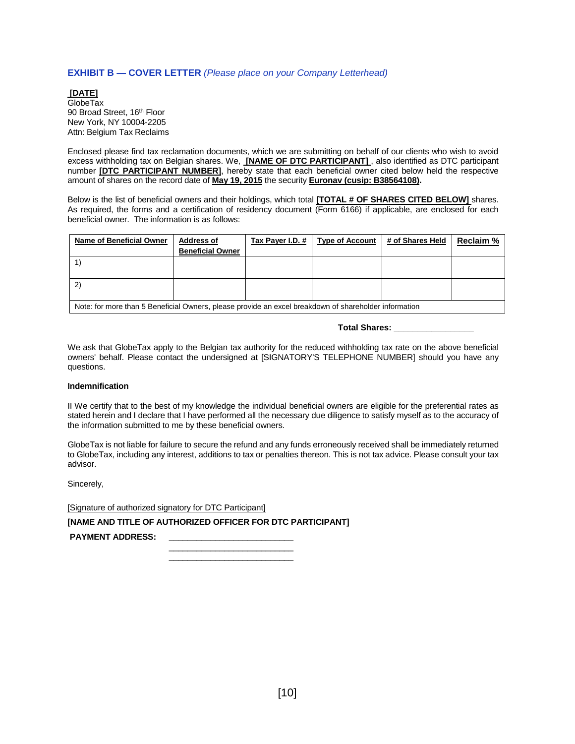#### **EXHIBIT B — COVER LETTER** *(Please place on your Company Letterhead)*

**[DATE]** GlobeTax 90 Broad Street, 16<sup>th</sup> Floor New York, NY 10004-2205 Attn: Belgium Tax Reclaims

Enclosed please find tax reclamation documents, which we are submitting on behalf of our clients who wish to avoid excess withholding tax on Belgian shares. We, **[NAME OF DTC PARTICIPANT]** , also identified as DTC participant number **[DTC PARTICIPANT NUMBER]**, hereby state that each beneficial owner cited below held the respective amount of shares on the record date of **May 19, 2015** the security **Euronav (cusip: B38564108).**

Below is the list of beneficial owners and their holdings, which total **[TOTAL # OF SHARES CITED BELOW]** shares. As required, the forms and a certification of residency document (Form 6166) if applicable, are enclosed for each beneficial owner. The information is as follows:

| Name of Beneficial Owner                                                                              | <b>Address of</b>       | Tax Payer I.D. # | <b>Type of Account</b> | # of Shares Held | <b>Reclaim %</b> |
|-------------------------------------------------------------------------------------------------------|-------------------------|------------------|------------------------|------------------|------------------|
|                                                                                                       | <b>Beneficial Owner</b> |                  |                        |                  |                  |
|                                                                                                       |                         |                  |                        |                  |                  |
|                                                                                                       |                         |                  |                        |                  |                  |
| (2)                                                                                                   |                         |                  |                        |                  |                  |
|                                                                                                       |                         |                  |                        |                  |                  |
| Note: for more than 5 Beneficial Owners, please provide an excel breakdown of shareholder information |                         |                  |                        |                  |                  |

**Total Shares: \_\_\_\_\_\_\_\_\_\_\_\_\_\_\_\_\_**

We ask that GlobeTax apply to the Belgian tax authority for the reduced withholding tax rate on the above beneficial owners' behalf. Please contact the undersigned at [SIGNATORY'S TELEPHONE NUMBER] should you have any questions.

#### **Indemnification**

II We certify that to the best of my knowledge the individual beneficial owners are eligible for the preferential rates as stated herein and I declare that I have performed all the necessary due diligence to satisfy myself as to the accuracy of the information submitted to me by these beneficial owners.

GlobeTax is not liable for failure to secure the refund and any funds erroneously received shall be immediately returned to GlobeTax, including any interest, additions to tax or penalties thereon. This is not tax advice. Please consult your tax advisor.

Sincerely,

[Signature of authorized signatory for DTC Participant]

**[NAME AND TITLE OF AUTHORIZED OFFICER FOR DTC PARTICIPANT]**

PAYMENT ADDRESS:

\_\_\_\_\_\_\_\_\_\_\_\_\_\_\_\_\_\_\_\_\_\_\_\_\_\_\_ \_\_\_\_\_\_\_\_\_\_\_\_\_\_\_\_\_\_\_\_\_\_\_\_\_\_\_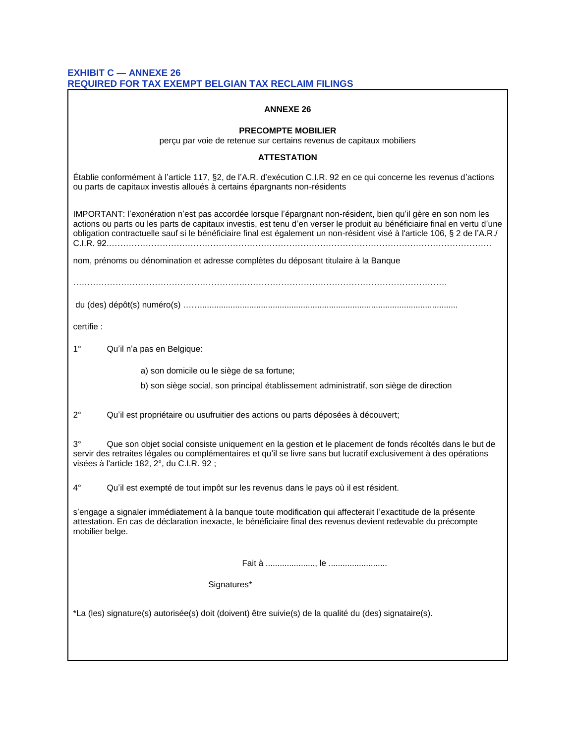#### **EXHIBIT C — ANNEXE 26 REQUIRED FOR TAX EXEMPT BELGIAN TAX RECLAIM FILINGS**

| <b>ANNEXE 26</b>                                                                                                                                                                                                                                                                                                                                                      |  |  |  |  |  |
|-----------------------------------------------------------------------------------------------------------------------------------------------------------------------------------------------------------------------------------------------------------------------------------------------------------------------------------------------------------------------|--|--|--|--|--|
| <b>PRECOMPTE MOBILIER</b><br>perçu par voie de retenue sur certains revenus de capitaux mobiliers                                                                                                                                                                                                                                                                     |  |  |  |  |  |
| <b>ATTESTATION</b>                                                                                                                                                                                                                                                                                                                                                    |  |  |  |  |  |
| Établie conformément à l'article 117, §2, de l'A.R. d'exécution C.I.R. 92 en ce qui concerne les revenus d'actions<br>ou parts de capitaux investis alloués à certains épargnants non-résidents                                                                                                                                                                       |  |  |  |  |  |
| IMPORTANT: l'exonération n'est pas accordée lorsque l'épargnant non-résident, bien qu'il gère en son nom les<br>actions ou parts ou les parts de capitaux investis, est tenu d'en verser le produit au bénéficiaire final en vertu d'une<br>obligation contractuelle sauf si le bénéficiaire final est également un non-résident visé à l'article 106, § 2 de l'A.R./ |  |  |  |  |  |
| nom, prénoms ou dénomination et adresse complètes du déposant titulaire à la Banque                                                                                                                                                                                                                                                                                   |  |  |  |  |  |
|                                                                                                                                                                                                                                                                                                                                                                       |  |  |  |  |  |
| certifie :                                                                                                                                                                                                                                                                                                                                                            |  |  |  |  |  |
| $1^{\circ}$<br>Qu'il n'a pas en Belgique:                                                                                                                                                                                                                                                                                                                             |  |  |  |  |  |
| a) son domicile ou le siège de sa fortune;<br>b) son siège social, son principal établissement administratif, son siège de direction                                                                                                                                                                                                                                  |  |  |  |  |  |
| $2^{\circ}$<br>Qu'il est propriétaire ou usufruitier des actions ou parts déposées à découvert;                                                                                                                                                                                                                                                                       |  |  |  |  |  |
| $3^\circ$<br>Que son objet social consiste uniquement en la gestion et le placement de fonds récoltés dans le but de<br>servir des retraites légales ou complémentaires et qu'il se livre sans but lucratif exclusivement à des opérations<br>visées à l'article 182, 2°, du C.I.R. 92 ;                                                                              |  |  |  |  |  |
| $4^{\circ}$<br>Qu'il est exempté de tout impôt sur les revenus dans le pays où il est résident.                                                                                                                                                                                                                                                                       |  |  |  |  |  |
| s'engage a signaler immédiatement à la banque toute modification qui affecterait l'exactitude de la présente<br>attestation. En cas de déclaration inexacte, le bénéficiaire final des revenus devient redevable du précompte<br>mobilier belge.                                                                                                                      |  |  |  |  |  |
|                                                                                                                                                                                                                                                                                                                                                                       |  |  |  |  |  |
| Signatures*                                                                                                                                                                                                                                                                                                                                                           |  |  |  |  |  |
| *La (les) signature(s) autorisée(s) doit (doivent) être suivie(s) de la qualité du (des) signataire(s).                                                                                                                                                                                                                                                               |  |  |  |  |  |
|                                                                                                                                                                                                                                                                                                                                                                       |  |  |  |  |  |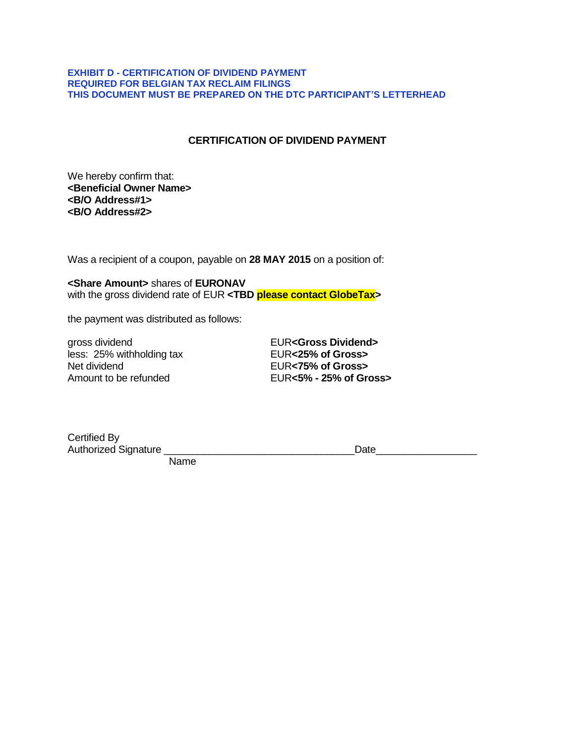#### **EXHIBIT D - CERTIFICATION OF DIVIDEND PAYMENT REQUIRED FOR BELGIAN TAX RECLAIM FILINGS THIS DOCUMENT MUST BE PREPARED ON THE DTC PARTICIPANT'S LETTERHEAD**

# **CERTIFICATION OF DIVIDEND PAYMENT**

We hereby confirm that: **<Beneficial Owner Name> <B/O Address#1> <B/O Address#2>**

Was a recipient of a coupon, payable on **28 MAY 2015** on a position of:

**<Share Amount>** shares of **EURONAV** with the gross dividend rate of EUR **<TBD please contact GlobeTax>**

the payment was distributed as follows:

gross dividend<br>
less: 25% withholding tax<br> **EUR<25% of Gross>** less: 25% withholding tax Net dividend EUR**<75% of Gross>**

Amount to be refunded EUR**<5% - 25% of Gross>**

Certified By<br>Authorized Signature

Authorized Signature  $\Box$ 

Name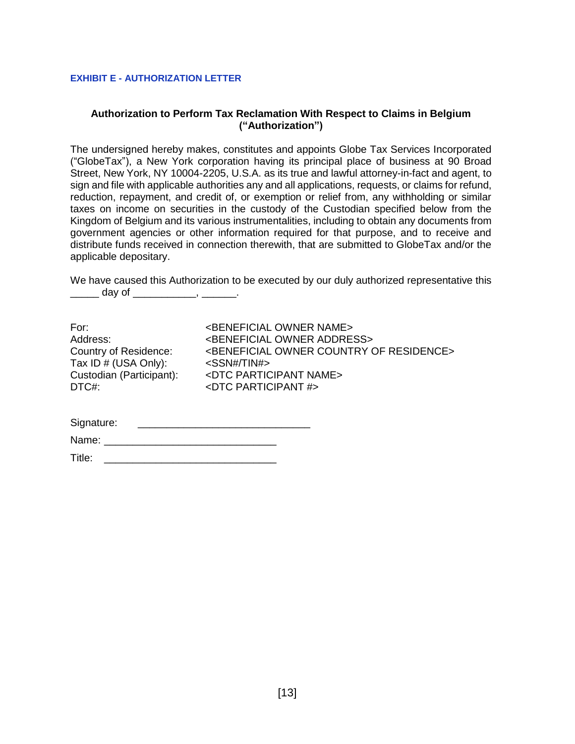#### **EXHIBIT E - AUTHORIZATION LETTER**

### **Authorization to Perform Tax Reclamation With Respect to Claims in Belgium ("Authorization")**

The undersigned hereby makes, constitutes and appoints Globe Tax Services Incorporated ("GlobeTax"), a New York corporation having its principal place of business at 90 Broad Street, New York, NY 10004-2205, U.S.A. as its true and lawful attorney-in-fact and agent, to sign and file with applicable authorities any and all applications, requests, or claims for refund, reduction, repayment, and credit of, or exemption or relief from, any withholding or similar taxes on income on securities in the custody of the Custodian specified below from the Kingdom of Belgium and its various instrumentalities, including to obtain any documents from government agencies or other information required for that purpose, and to receive and distribute funds received in connection therewith, that are submitted to GlobeTax and/or the applicable depositary.

We have caused this Authorization to be executed by our duly authorized representative this \_\_\_\_\_\_\_ day of \_\_\_\_\_\_\_\_\_\_\_\_\_, \_\_\_\_\_\_\_.

| For:                         | <beneficial name="" owner=""></beneficial>                       |
|------------------------------|------------------------------------------------------------------|
|                              |                                                                  |
| Address:                     | <beneficial address="" owner=""></beneficial>                    |
| <b>Country of Residence:</b> | <beneficial country="" of="" owner="" residence=""></beneficial> |
| Tax ID # (USA Only):         | <ssn# tin#=""></ssn#>                                            |
| Custodian (Participant):     | <dtc name="" participant=""></dtc>                               |
| DTC#:                        | <dtc #="" participant=""></dtc>                                  |
|                              |                                                                  |
|                              |                                                                  |

| Signature: |  |
|------------|--|
|            |  |

| Name:<br> |  |  |  |
|-----------|--|--|--|
|           |  |  |  |

| Title: |  |  |  |
|--------|--|--|--|
|        |  |  |  |